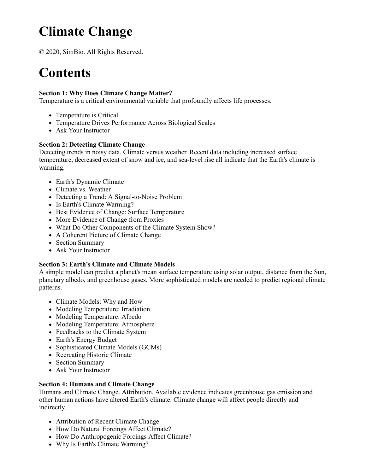# **Climate Change**

© 2020, SimBio. All Rights Reserved.

# **Contents**

### **Section 1: Why Does Climate Change Matter?**

Temperature is a critical environmental variable that profoundly affects life processes.

- Temperature is Critical
- Temperature Drives Performance Across Biological Scales
- Ask Your Instructor

### **Section 2: Detecting Climate Change**

Detecting trends in noisy data. Climate versus weather. Recent data including increased surface temperature, decreased extent of snow and ice, and sea-level rise all indicate that the Earth's climate is warming.

- Earth's Dynamic Climate
- Climate vs. Weather
- Detecting a Trend: A Signal-to-Noise Problem
- Is Earth's Climate Warming?
- Best Evidence of Change: Surface Temperature
- More Evidence of Change from Proxies
- What Do Other Components of the Climate System Show?
- A Coherent Picture of Climate Change
- Section Summary
- Ask Your Instructor

## **Section 3: Earth's Climate and Climate Models**

A simple model can predict a planet's mean surface temperature using solar output, distance from the Sun, planetary albedo, and greenhouse gases. More sophisticated models are needed to predict regional climate patterns.

- Climate Models: Why and How
- Modeling Temperature: Irradiation
- Modeling Temperature: Albedo
- Modeling Temperature: Atmosphere
- Feedbacks to the Climate System
- Earth's Energy Budget
- Sophisticated Climate Models (GCMs)
- Recreating Historic Climate
- Section Summary
- Ask Your Instructor

#### **Section 4: Humans and Climate Change**

Humans and Climate Change. Attribution. Available evidence indicates greenhouse gas emission and other human actions have altered Earth's climate. Climate change will affect people directly and indirectly.

- Attribution of Recent Climate Change
- How Do Natural Forcings Affect Climate?
- How Do Anthropogenic Forcings Affect Climate?
- Why Is Earth's Climate Warming?